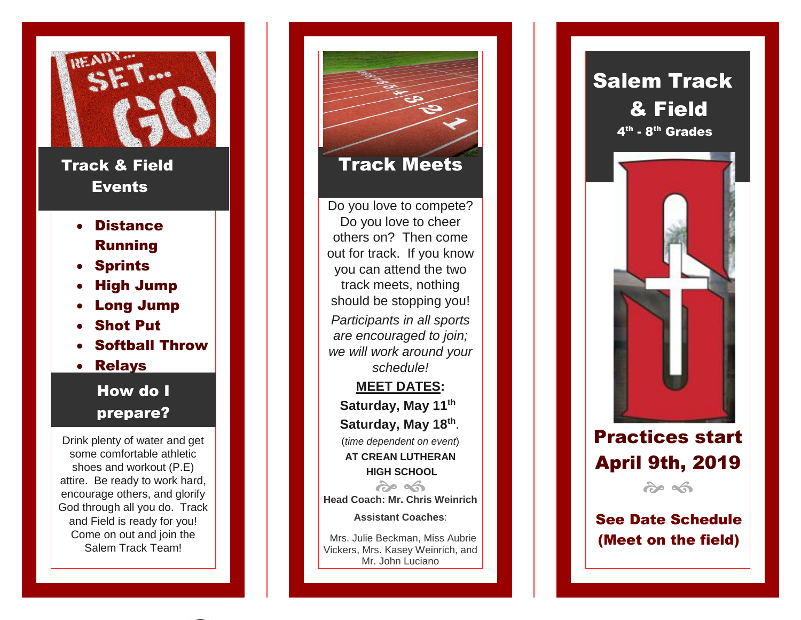

- Softball Throw
- Relays

#### How do I prepare?

Drink plenty of water and get some comfortable athletic shoes and workout (P.E) attire. Be ready to work hard, encour age others, and glorify God through all you do. Track and Field is ready for you! Come on out and join the Salem Track Team!



# Salem Track I & Field 4<sup>th</sup> - 8<sup>th</sup> Grades Practices start April 9th, 201 9  $\hat{\sigma}$

See Date Schedule (Meet on the field)